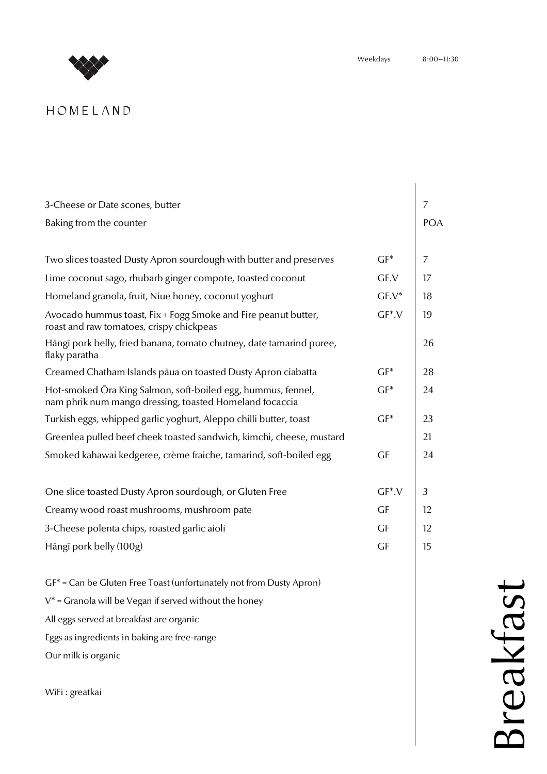

# HOMELAND

| 3-Cheese or Date scones, butter                                                                                         |              | 7          |  |  |  |
|-------------------------------------------------------------------------------------------------------------------------|--------------|------------|--|--|--|
| Baking from the counter                                                                                                 |              | <b>POA</b> |  |  |  |
|                                                                                                                         |              |            |  |  |  |
| Two slices toasted Dusty Apron sourdough with butter and preserves                                                      | $GF^*$       | 7          |  |  |  |
| Lime coconut sago, rhubarb ginger compote, toasted coconut                                                              | GF.V         | 17         |  |  |  |
| Homeland granola, fruit, Niue honey, coconut yoghurt                                                                    | $GF.V^*$     | 18         |  |  |  |
| Avocado hummus toast, Fix + Fogg Smoke and Fire peanut butter,<br>roast and raw tomatoes, crispy chickpeas              | $GF^*$ . $V$ | 19         |  |  |  |
| Hāngī pork belly, fried banana, tomato chutney, date tamarind puree,<br>flaky paratha                                   |              | 26         |  |  |  |
| Creamed Chatham Islands pāua on toasted Dusty Apron ciabatta                                                            | $GF^*$       | 28         |  |  |  |
| Hot-smoked Ora King Salmon, soft-boiled egg, hummus, fennel,<br>nam phrik num mango dressing, toasted Homeland focaccia | $GF^*$       | 24         |  |  |  |
| Turkish eggs, whipped garlic yoghurt, Aleppo chilli butter, toast<br>$GF^*$                                             |              |            |  |  |  |
| Greenlea pulled beef cheek toasted sandwich, kimchi, cheese, mustard                                                    |              | 21         |  |  |  |
| Smoked kahawai kedgeree, crème fraiche, tamarind, soft-boiled egg<br>GF                                                 |              |            |  |  |  |
|                                                                                                                         |              |            |  |  |  |
| One slice toasted Dusty Apron sourdough, or Gluten Free                                                                 | $GF^*$ . $V$ | 3          |  |  |  |
| Creamy wood roast mushrooms, mushroom pate                                                                              | <b>GF</b>    | 12         |  |  |  |
| 3-Cheese polenta chips, roasted garlic aioli                                                                            | GF           | 12         |  |  |  |
| Hāngī pork belly (100g)<br><b>GF</b>                                                                                    |              |            |  |  |  |
| $GF^*$ = Can be Gluten Free Toast (unfortunately not from Dusty Apron)                                                  |              |            |  |  |  |
| $V^*$ = Granola will be Vegan if served without the honey                                                               |              |            |  |  |  |
| All eggs served at breakfast are organic                                                                                |              |            |  |  |  |
| Eggs as ingredients in baking are free-range                                                                            |              |            |  |  |  |
| Our milk is organic                                                                                                     |              |            |  |  |  |
|                                                                                                                         |              |            |  |  |  |
| WiFi: greatkai                                                                                                          |              |            |  |  |  |

Breakfast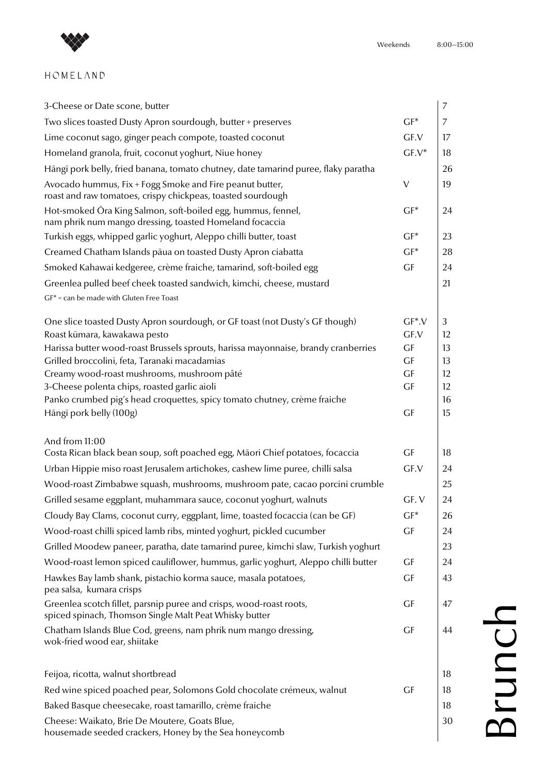

## $HOMELAND$

| 3-Cheese or Date scone, butter                                                                                                                                                                     |                       | 7              |
|----------------------------------------------------------------------------------------------------------------------------------------------------------------------------------------------------|-----------------------|----------------|
| Two slices toasted Dusty Apron sourdough, butter + preserves                                                                                                                                       | $GF^*$                | $\overline{7}$ |
| Lime coconut sago, ginger peach compote, toasted coconut                                                                                                                                           | GF.V                  | 17             |
| Homeland granola, fruit, coconut yoghurt, Niue honey                                                                                                                                               | $GF.V^*$              | 18             |
| Hāngī pork belly, fried banana, tomato chutney, date tamarind puree, flaky paratha                                                                                                                 |                       | 26             |
| Avocado hummus, Fix + Fogg Smoke and Fire peanut butter,<br>roast and raw tomatoes, crispy chickpeas, toasted sourdough                                                                            | $\vee$                | 19             |
| Hot-smoked Ōra King Salmon, soft-boiled egg, hummus, fennel,<br>nam phrik num mango dressing, toasted Homeland focaccia                                                                            | $GF^*$                | 24             |
| Turkish eggs, whipped garlic yoghurt, Aleppo chilli butter, toast                                                                                                                                  | $GF^*$                | 23             |
| Creamed Chatham Islands pāua on toasted Dusty Apron ciabatta                                                                                                                                       | $GF^*$                | 28             |
| Smoked Kahawai kedgeree, crème fraiche, tamarind, soft-boiled egg                                                                                                                                  | GF                    | 24             |
| Greenlea pulled beef cheek toasted sandwich, kimchi, cheese, mustard                                                                                                                               |                       | 21             |
| $GF* = can be made with Gluten Free Toast$                                                                                                                                                         |                       |                |
| One slice toasted Dusty Apron sourdough, or GF toast (not Dusty's GF though)<br>Roast kūmara, kawakawa pesto<br>Harissa butter wood-roast Brussels sprouts, harissa mayonnaise, brandy cranberries | $GF^*V$<br>GF.V<br>GF | 3<br>12<br>13  |
| Grilled broccolini, feta, Taranaki macadamias                                                                                                                                                      | GF                    | 13             |
| Creamy wood-roast mushrooms, mushroom pâté                                                                                                                                                         | GF                    | 12             |
| 3-Cheese polenta chips, roasted garlic aioli                                                                                                                                                       | GF                    | 12             |
| Panko crumbed pig's head croquettes, spicy tomato chutney, crème fraiche<br>Hāngī pork belly (100g)                                                                                                | GF                    | 16<br>15       |
|                                                                                                                                                                                                    |                       |                |
| And from 11:00                                                                                                                                                                                     |                       |                |
| Costa Rican black bean soup, soft poached egg, Māori Chief potatoes, focaccia                                                                                                                      | GF                    | 18             |
| Urban Hippie miso roast Jerusalem artichokes, cashew lime puree, chilli salsa                                                                                                                      | GF.V                  | 24             |
| Wood-roast Zimbabwe squash, mushrooms, mushroom pate, cacao porcini crumble                                                                                                                        |                       | 25             |
| Grilled sesame eggplant, muhammara sauce, coconut yoghurt, walnuts                                                                                                                                 | GF.V                  | 24             |
| Cloudy Bay Clams, coconut curry, eggplant, lime, toasted focaccia (can be GF)                                                                                                                      | $GF^*$                | 26             |
| Wood-roast chilli spiced lamb ribs, minted yoghurt, pickled cucumber                                                                                                                               | GF                    | 24             |
| Grilled Moodew paneer, paratha, date tamarind puree, kimchi slaw, Turkish yoghurt                                                                                                                  |                       | 23             |
| Wood-roast lemon spiced cauliflower, hummus, garlic yoghurt, Aleppo chilli butter                                                                                                                  | GF                    | 24             |
| Hawkes Bay lamb shank, pistachio korma sauce, masala potatoes,<br>pea salsa, kumara crisps                                                                                                         | GF                    | 43             |
| Greenlea scotch fillet, parsnip puree and crisps, wood-roast roots,<br>spiced spinach, Thomson Single Malt Peat Whisky butter                                                                      | GF                    | 47             |
| Chatham Islands Blue Cod, greens, nam phrik num mango dressing,<br>wok-fried wood ear, shiitake                                                                                                    | GF                    | 44             |
| Feijoa, ricotta, walnut shortbread                                                                                                                                                                 |                       | 18             |
| Red wine spiced poached pear, Solomons Gold chocolate crémeux, walnut                                                                                                                              | GF                    | 18             |
| Baked Basque cheesecake, roast tamarillo, crème fraiche                                                                                                                                            |                       | 18             |
| Cheese: Waikato, Brie De Moutere, Goats Blue,<br>housemade seeded crackers, Honey by the Sea honeycomb                                                                                             |                       | 30             |

Brunch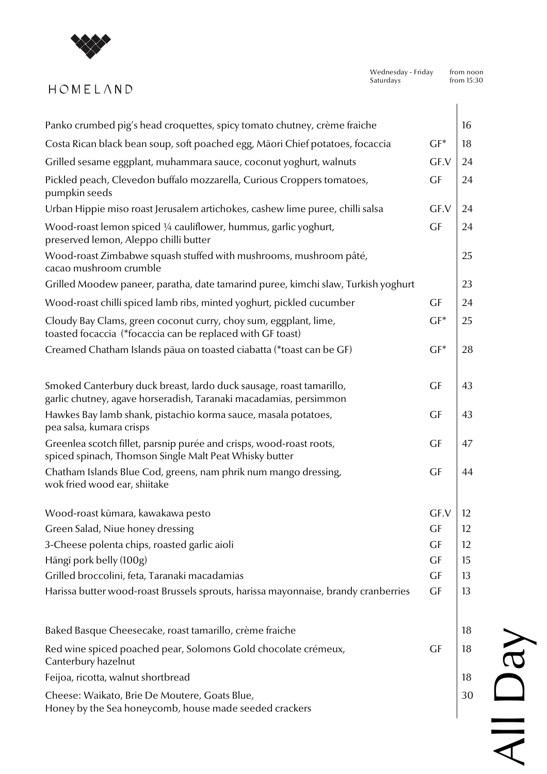

# HOMELAND

| Panko crumbed pig's head croquettes, spicy tomato chutney, crème fraiche                                                                 |             | 16 |
|------------------------------------------------------------------------------------------------------------------------------------------|-------------|----|
| Costa Rican black bean soup, soft poached egg, Māori Chief potatoes, focaccia                                                            | $GF^*$      | 18 |
| Grilled sesame eggplant, muhammara sauce, coconut yoghurt, walnuts                                                                       | GF.V        | 24 |
| Pickled peach, Clevedon buffalo mozzarella, Curious Croppers tomatoes,<br>pumpkin seeds                                                  | GF          | 24 |
| Urban Hippie miso roast Jerusalem artichokes, cashew lime puree, chilli salsa                                                            | GF.V        | 24 |
| Wood-roast lemon spiced 1/4 cauliflower, hummus, garlic yoghurt,<br>preserved lemon, Aleppo chilli butter                                | GF          | 24 |
| Wood-roast Zimbabwe squash stuffed with mushrooms, mushroom pâté,<br>cacao mushroom crumble                                              |             | 25 |
| Grilled Moodew paneer, paratha, date tamarind puree, kimchi slaw, Turkish yoghurt                                                        |             | 23 |
| Wood-roast chilli spiced lamb ribs, minted yoghurt, pickled cucumber                                                                     | GF          | 24 |
| Cloudy Bay Clams, green coconut curry, choy sum, eggplant, lime,<br>toasted focaccia (*focaccia can be replaced with GF toast)           | $GF^*$      | 25 |
| Creamed Chatham Islands pāua on toasted ciabatta (*toast can be GF)                                                                      | $GF^*$      | 28 |
| Smoked Canterbury duck breast, lardo duck sausage, roast tamarillo,<br>garlic chutney, agave horseradish, Taranaki macadamias, persimmon | GF          | 43 |
| Hawkes Bay lamb shank, pistachio korma sauce, masala potatoes,<br>pea salsa, kumara crisps                                               | GF          | 43 |
| Greenlea scotch fillet, parsnip purée and crisps, wood-roast roots,<br>spiced spinach, Thomson Single Malt Peat Whisky butter            | GF          | 47 |
| Chatham Islands Blue Cod, greens, nam phrik num mango dressing,<br>wok fried wood ear, shiitake                                          | GF          | 44 |
| Wood-roast kūmara, kawakawa pesto                                                                                                        | $GF.V$   12 |    |
| Green Salad, Niue honey dressing                                                                                                         | GF          | 12 |
| 3-Cheese polenta chips, roasted garlic aioli                                                                                             | GF          | 12 |
| Hāngī pork belly (100g)                                                                                                                  | GF          | 15 |
| Grilled broccolini, feta, Taranaki macadamias                                                                                            | <b>GF</b>   | 13 |
| Harissa butter wood-roast Brussels sprouts, harissa mayonnaise, brandy cranberries                                                       | GF          | 13 |
| Baked Basque Cheesecake, roast tamarillo, crème fraiche                                                                                  |             | 18 |
| Red wine spiced poached pear, Solomons Gold chocolate crémeux,<br>Canterbury hazelnut                                                    | GF          | 18 |
| Feijoa, ricotta, walnut shortbread                                                                                                       |             | 18 |
| Cheese: Waikato, Brie De Moutere, Goats Blue,<br>Honey by the Sea honeycomb, house made seeded crackers                                  |             | 30 |
|                                                                                                                                          |             |    |

All Day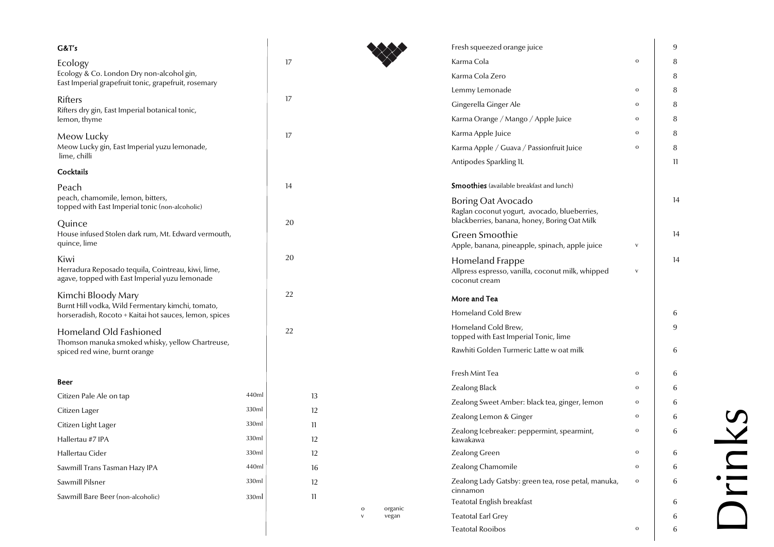| G&T's                                                                                                |       |    |                        | Fresh squeezed orange juice                                        |               | 9  |
|------------------------------------------------------------------------------------------------------|-------|----|------------------------|--------------------------------------------------------------------|---------------|----|
| Ecology                                                                                              |       | 17 |                        | Karma Cola                                                         |               | 8  |
| Ecology & Co. London Dry non-alcohol gin,                                                            |       |    |                        | Karma Cola Zero                                                    |               | 8  |
| East Imperial grapefruit tonic, grapefruit, rosemary                                                 |       |    |                        | Lemmy Lemonade                                                     | $\mathbf{o}$  | 8  |
| Rifters<br>Rifters dry gin, East Imperial botanical tonic,                                           |       | 17 |                        | Gingerella Ginger Ale                                              | $\mathbf 0$   | 8  |
| lemon, thyme                                                                                         |       |    |                        | Karma Orange / Mango / Apple Juice                                 | $\mathbf{o}$  | 8  |
| Meow Lucky                                                                                           |       | 17 |                        | Karma Apple Juice                                                  | $\mathbf{o}$  | 8  |
| Meow Lucky gin, East Imperial yuzu lemonade,                                                         |       |    |                        | Karma Apple / Guava / Passionfruit Juice                           | $\rm{O}$      | 8  |
| lime, chilli                                                                                         |       |    |                        | Antipodes Sparkling 1L                                             |               | 11 |
| Cocktails                                                                                            |       |    |                        |                                                                    |               |    |
| Peach                                                                                                |       | 14 |                        | <b>Smoothies</b> (available breakfast and lunch)                   |               |    |
| peach, chamomile, lemon, bitters,<br>topped with East Imperial tonic (non-alcoholic)                 |       |    |                        | Boring Oat Avocado<br>Raglan coconut yogurt, avocado, blueberries, |               | 14 |
| Quince                                                                                               |       | 20 |                        | blackberries, banana, honey, Boring Oat Milk                       |               |    |
| House infused Stolen dark rum, Mt. Edward vermouth,                                                  |       |    |                        | Green Smoothie                                                     |               | 14 |
| quince, lime                                                                                         |       |    |                        | Apple, banana, pineapple, spinach, apple juice                     | ${\mathsf V}$ |    |
| Kiwi                                                                                                 |       | 20 |                        | Homeland Frappe                                                    |               | 14 |
| Herradura Reposado tequila, Cointreau, kiwi, lime,<br>agave, topped with East Imperial yuzu lemonade |       |    |                        | Allpress espresso, vanilla, coconut milk, whipped<br>coconut cream | ${\mathsf V}$ |    |
| Kimchi Bloody Mary                                                                                   |       | 22 |                        |                                                                    |               |    |
| Burnt Hill vodka, Wild Fermentary kimchi, tomato,                                                    |       |    |                        | More and Tea                                                       |               |    |
| horseradish, Rocoto + Kaitai hot sauces, lemon, spices                                               |       |    |                        | Homeland Cold Brew                                                 |               | 6  |
| Homeland Old Fashioned                                                                               |       | 22 |                        | Homeland Cold Brew,<br>topped with East Imperial Tonic, lime       |               | 9  |
| Thomson manuka smoked whisky, yellow Chartreuse,<br>spiced red wine, burnt orange                    |       |    |                        | Rawhiti Golden Turmeric Latte w oat milk                           |               | 6  |
|                                                                                                      |       |    |                        |                                                                    |               |    |
| Beer                                                                                                 |       |    |                        | Fresh Mint Tea                                                     | $\rm{O}$      | 6  |
| Citizen Pale Ale on tap                                                                              | 440ml | 13 |                        | Zealong Black                                                      | $\mathbf{o}$  | 6  |
| Citizen Lager                                                                                        | 330ml | 12 |                        | Zealong Sweet Amber: black tea, ginger, lemon                      | $\mathbf 0$   | 6  |
| Citizen Light Lager                                                                                  | 330ml | 11 |                        | Zealong Lemon & Ginger                                             | $\mathbf{o}$  | 6  |
| Hallertau #7 IPA                                                                                     | 330ml | 12 |                        | Zealong Icebreaker: peppermint, spearmint,<br>kawakawa             | $\mathbf{o}$  | 6  |
| Hallertau Cider                                                                                      | 330ml | 12 |                        | Zealong Green                                                      | $\mathbf{o}$  | 6  |
| Sawmill Trans Tasman Hazy IPA                                                                        | 440ml | 16 |                        | Zealong Chamomile                                                  | $\rm{O}$      | 6  |
| Sawmill Pilsner                                                                                      | 330ml | 12 |                        | Zealong Lady Gatsby: green tea, rose petal, manuka,                | $\mathbf{o}$  | 6  |
| Sawmill Bare Beer (non-alcoholic)                                                                    | 330ml | 11 |                        | cinnamon                                                           |               |    |
|                                                                                                      |       |    | organic<br>$\mathbf 0$ | <b>Teatotal English breakfast</b>                                  |               | 6  |
|                                                                                                      |       |    | vegan<br>${\mathsf V}$ | <b>Teatotal Earl Grey</b>                                          |               | 6  |
|                                                                                                      |       |    |                        | <b>Teatotal Rooibos</b>                                            | $\mathbf{o}$  | 6  |

Drinks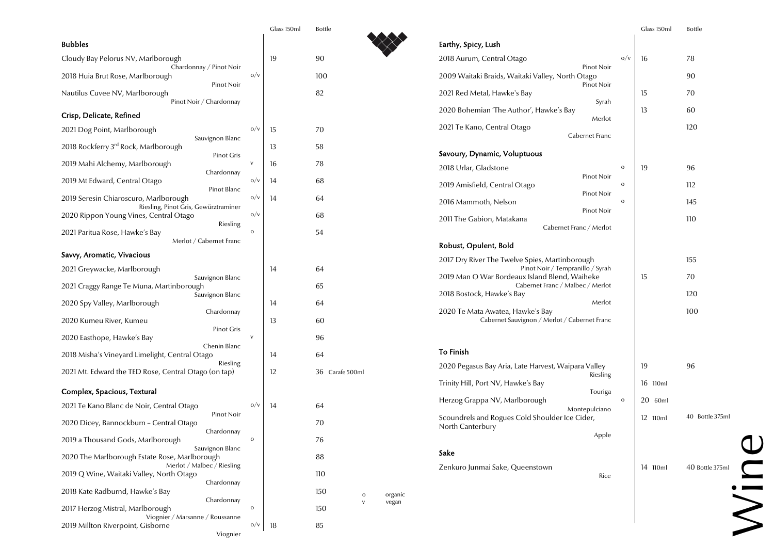|                                                                                  |              | Glass 150ml | <b>Bottle</b>                  |
|----------------------------------------------------------------------------------|--------------|-------------|--------------------------------|
| <b>Bubbles</b>                                                                   |              |             |                                |
| Cloudy Bay Pelorus NV, Marlborough                                               |              | 19          | 90                             |
| Chardonnay / Pinot Noir<br>2018 Huia Brut Rose, Marlborough                      | O/V          |             | 100                            |
| Pinot Noir<br>Nautilus Cuvee NV, Marlborough<br>Pinot Noir / Chardonnay          |              |             | 82                             |
| Crisp, Delicate, Refined                                                         |              |             |                                |
| 2021 Dog Point, Marlborough                                                      | O/V          | 15          | 70                             |
| Sauvignon Blanc<br>2018 Rockferry 3rd Rock, Marlborough                          |              | 13          | 58                             |
| Pinot Gris<br>2019 Mahi Alchemy, Marlborough                                     | $\mathsf{V}$ | 16          | 78                             |
| Chardonnay<br>2019 Mt Edward, Central Otago<br>Pinot Blanc                       | O/V          | 14          | 68                             |
| 2019 Seresin Chiaroscuro, Marlborough                                            | O/V          | 14          | 64                             |
| Riesling, Pinot Gris, Gewürztraminer<br>2020 Rippon Young Vines, Central Otago   | O/V          |             | 68                             |
| Riesling<br>2021 Paritua Rose, Hawke's Bay<br>Merlot / Cabernet Franc            | $\mathbf O$  |             | 54                             |
| Savvy, Aromatic, Vivacious                                                       |              |             |                                |
| 2021 Greywacke, Marlborough                                                      |              | 14          | 64                             |
| Sauvignon Blanc<br>2021 Craggy Range Te Muna, Martinborough<br>Sauvignon Blanc   |              |             | 65                             |
| 2020 Spy Valley, Marlborough                                                     |              | 14          | 64                             |
| Chardonnay<br>2020 Kumeu River, Kumeu                                            |              | 13          | 60                             |
| Pinot Gris<br>2020 Easthope, Hawke's Bay                                         | $\vee$       |             | 96                             |
| Chenin Blanc<br>2018 Misha's Vineyard Limelight, Central Otago<br>Riesling       |              | 14          | 64                             |
| 2021 Mt. Edward the TED Rose, Central Otago (on tap)                             |              | 12          | 36 Carafe 500ml                |
| Complex, Spacious, Textural                                                      |              |             |                                |
| 2021 Te Kano Blanc de Noir, Central Otago                                        | 0/v          | 14          | 64                             |
| Pinot Noir<br>2020 Dicey, Bannockburn - Central Otago<br>Chardonnay              |              |             | 70                             |
| 2019 a Thousand Gods, Marlborough<br>Sauvignon Blanc                             | $\mathbf O$  |             | 76                             |
| 2020 The Marlborough Estate Rose, Marlborough                                    |              |             | 88                             |
| Merlot / Malbec / Riesling<br>2019 Q Wine, Waitaki Valley, North Otago           |              |             | 110                            |
| Chardonnay<br>2018 Kate Radburnd, Hawke's Bay                                    |              |             | 150<br>organic<br>$\mathbf{o}$ |
| Chardonnay<br>2017 Herzog Mistral, Marlborough                                   | $\mathbf{o}$ |             | vegan<br>$\vee$<br>150         |
| Viognier / Marsanne / Roussanne<br>2019 Millton Riverpoint, Gisborne<br>Viognier | 0/v          | 18          | 85                             |

|                                                                                   |                                      |              | Glass 150ml | <b>Bottle</b>   |
|-----------------------------------------------------------------------------------|--------------------------------------|--------------|-------------|-----------------|
| Earthy, Spicy, Lush                                                               |                                      |              |             |                 |
| 2018 Aurum, Central Otago                                                         | Pinot Noir                           | O/V          | 16          | 78              |
| 2009 Waitaki Braids, Waitaki Valley, North Otago                                  | Pinot Noir                           |              |             | 90              |
| 2021 Red Metal, Hawke's Bay                                                       | Syrah                                |              | 15          | 70              |
| 2020 Bohemian 'The Author', Hawke's Bay                                           | Merlot                               |              | 13          | 60              |
| 2021 Te Kano, Central Otago                                                       | Cabernet Franc                       |              |             | 120             |
| Savoury, Dynamic, Voluptuous                                                      |                                      |              |             |                 |
| 2018 Urlar, Gladstone                                                             |                                      | $\mathbf O$  | 19          | 96              |
| 2019 Amisfield, Central Otago                                                     | Pinot Noir                           | $\mathbf{o}$ |             | 112             |
| 2016 Mammoth, Nelson                                                              | Pinot Noir<br>Pinot Noir             | $\mathbf{o}$ |             | 145             |
| 2011 The Gabion, Matakana<br>Cabernet Franc / Merlot                              |                                      |              |             | 110             |
| Robust, Opulent, Bold                                                             |                                      |              |             |                 |
| 2017 Dry River The Twelve Spies, Martinborough                                    |                                      |              |             | 155             |
| Pinot Noir / Tempranillo / Syrah<br>2019 Man O War Bordeaux Island Blend, Waiheke |                                      |              | 15          | 70              |
| Cabernet Franc / Malbec / Merlot<br>2018 Bostock, Hawke's Bay                     |                                      |              | 120         |                 |
| 2020 Te Mata Awatea, Hawke's Bay<br>Cabernet Sauvignon / Merlot / Cabernet Franc  | Merlot                               |              |             | 100             |
| <b>To Finish</b>                                                                  |                                      |              |             |                 |
| 2020 Pegasus Bay Aria, Late Harvest, Waipara Valley                               |                                      |              | 19          | 96              |
| Trinity Hill, Port NV, Hawke's Bay                                                | Riesling<br>Touriga<br>Montepulciano |              | 16 110ml    |                 |
| Herzog Grappa NV, Marlborough                                                     |                                      | $\mathbf O$  | 20 60ml     |                 |
| Scoundrels and Rogues Cold Shoulder Ice Cider,<br>North Canterbury                | Apple                                |              | 12 110ml    | 40 Bottle 375ml |
| Sake                                                                              |                                      |              |             |                 |
| Zenkuro Junmai Sake, Queenstown                                                   | Rice                                 |              | 14 110ml    | 40 Bottle 375ml |
|                                                                                   |                                      |              |             |                 |
|                                                                                   |                                      |              |             |                 |
|                                                                                   |                                      |              |             |                 |

# Wine